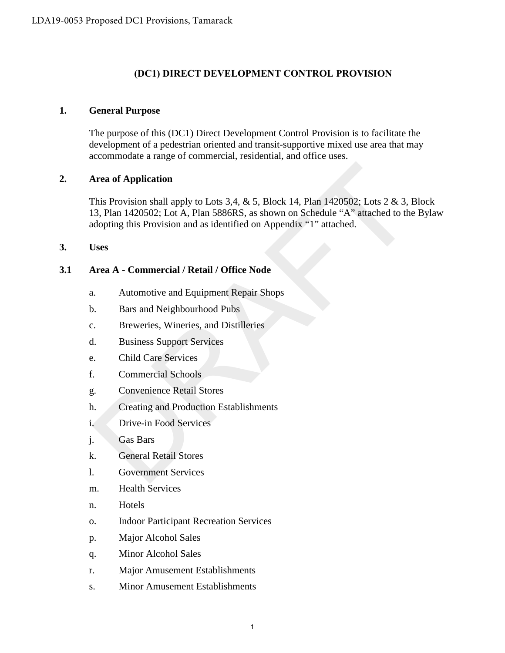# **(DC1) DIRECT DEVELOPMENT CONTROL PROVISION**

#### **1. General Purpose**

The purpose of this (DC1) Direct Development Control Provision is to facilitate the development of a pedestrian oriented and transit-supportive mixed use area that may accommodate a range of commercial, residential, and office uses.

### **2. Area of Application**

This Provision shall apply to Lots 3,4,  $\&$  5, Block 14, Plan 1420502; Lots 2  $\&$  3, Block 13, Plan 1420502; Lot A, Plan 5886RS, as shown on Schedule "A" attached to the Bylaw adopting this Provision and as identified on Appendix "1" attached. **Area of Application**<br>
This Provision shall apply to Lots 3.4, & 5, Block 14, Plan 1420502; Lots 2 & 3, 1<br>
3, Plan 1420502; Lot A, Plan 5886RS, as shown on Schedule "A" attached to the<br>
alopting this Provision and as ident

**3. Uses**

# **3.1 Area A - Commercial / Retail / Office Node**

- a. Automotive and Equipment Repair Shops
- b. Bars and Neighbourhood Pubs
- c. Breweries, Wineries, and Distilleries
- d. Business Support Services
- e. Child Care Services
- f. Commercial Schools
- g. Convenience Retail Stores
- h. Creating and Production Establishments
- i. Drive-in Food Services
- j. Gas Bars
- k. General Retail Stores
- l. Government Services
- m. Health Services
- n. Hotels
- o. Indoor Participant Recreation Services
- p. Major Alcohol Sales
- q. Minor Alcohol Sales
- r. Major Amusement Establishments
- s. Minor Amusement Establishments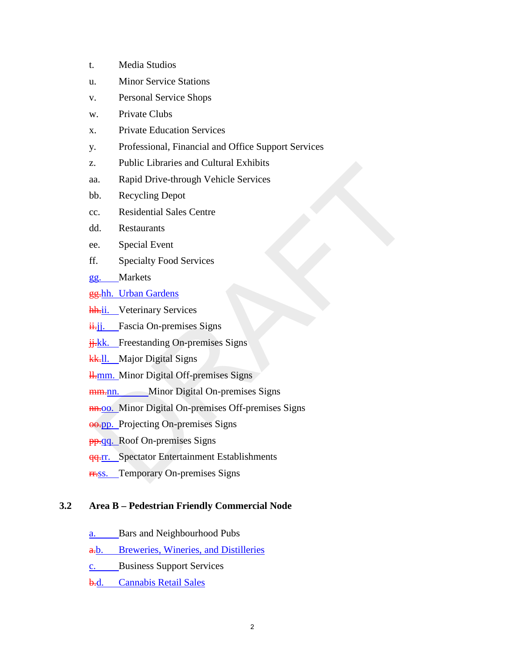- t. Media Studios
- u. Minor Service Stations
- v. Personal Service Shops
- w. Private Clubs
- x. Private Education Services
- y. Professional, Financial and Office Support Services
- z. Public Libraries and Cultural Exhibits
- aa. Rapid Drive-through Vehicle Services
- bb. Recycling Depot
- cc. Residential Sales Centre
- dd. Restaurants
- ee. Special Event
- ff. Specialty Food Services
- gg. Markets
- gg.hh. Urban Gardens
- hh.ii. Veterinary Services
- $\frac{\mathbf{i} \cdot \mathbf{j}}{\mathbf{j}}$ . Fascia On-premises Signs
- $\frac{1}{11}$ kk. Freestanding On-premises Signs
- kk.<sup>II</sup>. Major Digital Signs
- H<sub>r</sub>mm. Minor Digital Off-premises Signs
- mm.nn. Minor Digital On-premises Signs
- **nn.**00. Minor Digital On-premises Off-premises Signs The Libraries and Cultural Exhibits<br>
a. Rapid Drive-through Vehicle Services<br>
b. Recycling Depot<br>
c. Residential Sales Centre<br>
e. Special Event<br>
f. Special Event<br>
F. Special Event<br>
a. Special For Special Services<br>
F. Speci
- oo.pp. Projecting On-premises Signs
- **pp.gq.** Roof On-premises Signs
- **qq.rr.** Spectator Entertainment Establishments
- **rr.ss.** Temporary On-premises Signs

#### **3.2 Area B – Pedestrian Friendly Commercial Node**

- a. Bars and Neighbourhood Pubs
- a.b. Breweries, Wineries, and Distilleries
- c. Business Support Services
- b.d. Cannabis Retail Sales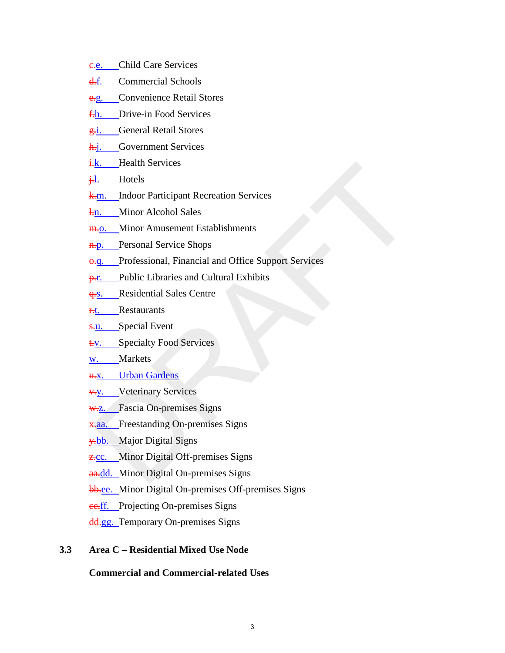- e.e. Child Care Services
- d.f. Commercial Schools
- e.g. Convenience Retail Stores
- f.h. Drive-in Food Services
- g.i. General Retail Stores
- h.j. Government Services
- i.k. Health Services
- i.l. Hotels
- k.m. Indoor Participant Recreation Services
- l.n. Minor Alcohol Sales
- m.o. Minor Amusement Establishments
- **n.p.** Personal Service Shops
- o.q. Professional, Financial and Office Support Services -<u>k.</u> Health Services<br>
-<u>h.</u> Hotels<br>
-<u>h.</u> Indoor Participant Recreation Services<br>
-<u>n.</u> Minor Alcohol Sales<br>
-<u>h.</u> Personal Service Slops<br>
-h. Personal Service Slops<br>
-h. Public Libraries and Cultural Exhibits<br>
-h. Publi
- **p.r.** Public Libraries and Cultural Exhibits
- **q.s.** Residential Sales Centre
- **F.t.** Restaurants
- s.u. Special Event
- t.v. Specialty Food Services
- w. Markets
- u.x. Urban Gardens
- v.y. Veterinary Services
- W.Z. Fascia On-premises Signs
- x.aa. Freestanding On-premises Signs
- y<sub>th</sub>. Major Digital Signs
- **z.cc.** Minor Digital Off-premises Signs
- aa.dd. Minor Digital On-premises Signs
- bb.ee. Minor Digital On-premises Off-premises Signs
- ec.ff. Projecting On-premises Signs
- dd.gg. Temporary On-premises Signs

# **3.3 Area C – Residential Mixed Use Node**

#### **Commercial and Commercial-related Uses**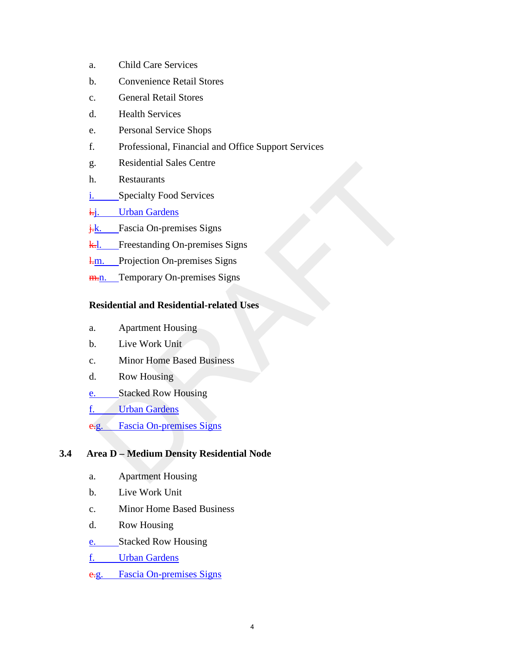- a. Child Care Services
- b. Convenience Retail Stores
- c. General Retail Stores
- d. Health Services
- e. Personal Service Shops
- f. Professional, Financial and Office Support Services
- g. Residential Sales Centre
- h. Restaurants
- i. Specialty Food Services
- i.j. Urban Gardens
- j.k. Fascia On-premises Signs
- k.l. Freestanding On-premises Signs
- **l.m.** Projection On-premises Signs
- m.n. Temporary On-premises Signs

### **Residential and Residential-related Uses**

- a. Apartment Housing
- b. Live Work Unit
- c. Minor Home Based Business
- d. Row Housing
- e. Stacked Row Housing
- f. Urban Gardens
- e.g. Fascia On-premises Signs

# **3.4 Area D – Medium Density Residential Node** Residential Sales Centre<br>
1. Restaurants<br>
<u>Jordan Gardens</u><br>
1. Urban Gardens<br>
1. Freestanding On-premises Signs<br>
1. Projection On-premises Signs<br>
1. Projection On-premises Signs<br> **Residential and Residential-related Uses**<br>

- a. Apartment Housing
- b. Live Work Unit
- c. Minor Home Based Business
- d. Row Housing
- e. Stacked Row Housing
- f. Urban Gardens
- e.g. Fascia On-premises Signs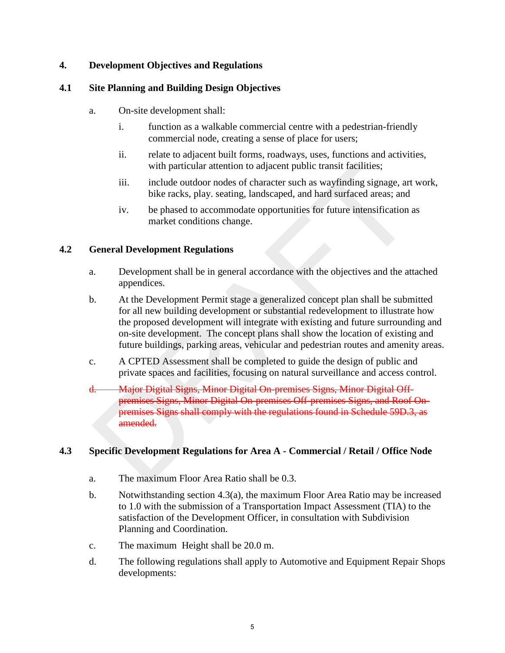# **4. Development Objectives and Regulations**

#### **4.1 Site Planning and Building Design Objectives**

- a. On-site development shall:
	- i. function as a walkable commercial centre with a pedestrian-friendly commercial node, creating a sense of place for users;
	- ii. relate to adjacent built forms, roadways, uses, functions and activities, with particular attention to adjacent public transit facilities;
	- iii. include outdoor nodes of character such as wayfinding signage, art work, bike racks, play. seating, landscaped, and hard surfaced areas; and
	- iv. be phased to accommodate opportunities for future intensification as market conditions change.

### **4.2 General Development Regulations**

- a. Development shall be in general accordance with the objectives and the attached appendices.
- b. At the Development Permit stage a generalized concept plan shall be submitted for all new building development or substantial redevelopment to illustrate how the proposed development will integrate with existing and future surrounding and on-site development. The concept plans shall show the location of existing and future buildings, parking areas, vehicular and pedestrian routes and amenity areas. with particular attention to adjacent public transit facilities;<br>
iii. include outdoor nodes of character such as wayfinding signage, art<br>
bie racks, play. seating, landscaped, and hard surfaced areas; and<br>
iv. be phased t
- c. A CPTED Assessment shall be completed to guide the design of public and private spaces and facilities, focusing on natural surveillance and access control.
- d. Major Digital Signs, Minor Digital On-premises Signs, Minor Digital Offpremises Signs, Minor Digital On-premises Off-premises Signs, and Roof Onpremises Signs shall comply with the regulations found in Schedule 59D.3, as amended.

# **4.3 Specific Development Regulations for Area A - Commercial / Retail / Office Node**

- a. The maximum Floor Area Ratio shall be 0.3.
- b. Notwithstanding section 4.3(a), the maximum Floor Area Ratio may be increased to 1.0 with the submission of a Transportation Impact Assessment (TIA) to the satisfaction of the Development Officer, in consultation with Subdivision Planning and Coordination.
- c. The maximum Height shall be 20.0 m.
- d. The following regulations shall apply to Automotive and Equipment Repair Shops developments: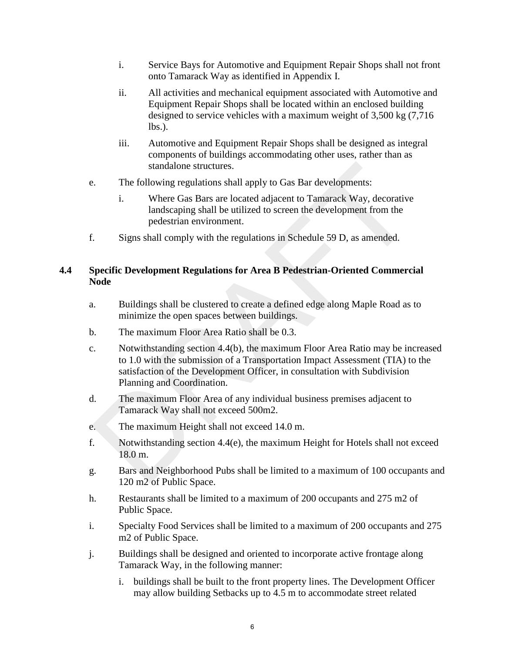- i. Service Bays for Automotive and Equipment Repair Shops shall not front onto Tamarack Way as identified in Appendix I.
- ii. All activities and mechanical equipment associated with Automotive and Equipment Repair Shops shall be located within an enclosed building designed to service vehicles with a maximum weight of 3,500 kg (7,716 lbs.).
- iii. Automotive and Equipment Repair Shops shall be designed as integral components of buildings accommodating other uses, rather than as standalone structures.
- e. The following regulations shall apply to Gas Bar developments:
	- i. Where Gas Bars are located adjacent to Tamarack Way, decorative landscaping shall be utilized to screen the development from the pedestrian environment.
- f. Signs shall comply with the regulations in Schedule 59 D, as amended.

# **4.4 Specific Development Regulations for Area B Pedestrian-Oriented Commercial Node**

- a. Buildings shall be clustered to create a defined edge along Maple Road as to minimize the open spaces between buildings.
- b. The maximum Floor Area Ratio shall be 0.3.
- c. Notwithstanding section 4.4(b), the maximum Floor Area Ratio may be increased to 1.0 with the submission of a Transportation Impact Assessment (TIA) to the satisfaction of the Development Officer, in consultation with Subdivision Planning and Coordination. standalone structures.<br>
The following regulations shall apply to Gas Bar developments:<br>
i. Where Gas Bars are located adjacent to Tamarack Way, decorative<br>
landscaping shall countilized to screen the development from the<br>
- d. The maximum Floor Area of any individual business premises adjacent to Tamarack Way shall not exceed 500m2.
- e. The maximum Height shall not exceed 14.0 m.
- f. Notwithstanding section 4.4(e), the maximum Height for Hotels shall not exceed 18.0 m.
- g. Bars and Neighborhood Pubs shall be limited to a maximum of 100 occupants and 120 m2 of Public Space.
- h. Restaurants shall be limited to a maximum of 200 occupants and 275 m2 of Public Space.
- i. Specialty Food Services shall be limited to a maximum of 200 occupants and 275 m2 of Public Space.
- j. Buildings shall be designed and oriented to incorporate active frontage along Tamarack Way, in the following manner:
	- i. buildings shall be built to the front property lines. The Development Officer may allow building Setbacks up to 4.5 m to accommodate street related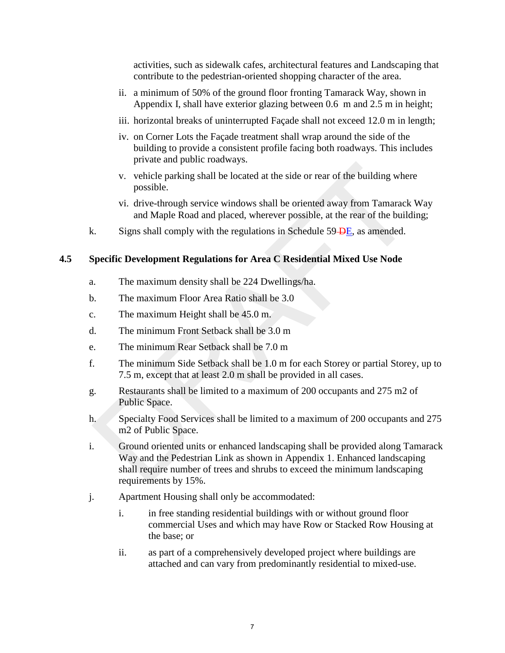activities, such as sidewalk cafes, architectural features and Landscaping that contribute to the pedestrian-oriented shopping character of the area.

- ii. a minimum of 50% of the ground floor fronting Tamarack Way, shown in Appendix I, shall have exterior glazing between 0.6 m and 2.5 m in height;
- iii. horizontal breaks of uninterrupted Façade shall not exceed 12.0 m in length;
- iv. on Corner Lots the Façade treatment shall wrap around the side of the building to provide a consistent profile facing both roadways. This includes private and public roadways.
- v. vehicle parking shall be located at the side or rear of the building where possible.
- vi. drive-through service windows shall be oriented away from Tamarack Way and Maple Road and placed, wherever possible, at the rear of the building;
- k. Signs shall comply with the regulations in Schedule  $59 \text{DE}$ , as amended.

### **4.5 Specific Development Regulations for Area C Residential Mixed Use Node**

- a. The maximum density shall be 224 Dwellings/ha.
- b. The maximum Floor Area Ratio shall be 3.0
- c. The maximum Height shall be 45.0 m.
- d. The minimum Front Setback shall be 3.0 m
- e. The minimum Rear Setback shall be 7.0 m
- f. The minimum Side Setback shall be 1.0 m for each Storey or partial Storey, up to 7.5 m, except that at least 2.0 m shall be provided in all cases.
- g. Restaurants shall be limited to a maximum of 200 occupants and 275 m2 of Public Space.
- h. Specialty Food Services shall be limited to a maximum of 200 occupants and 275 m2 of Public Space.
- i. Ground oriented units or enhanced landscaping shall be provided along Tamarack Way and the Pedestrian Link as shown in Appendix 1. Enhanced landscaping shall require number of trees and shrubs to exceed the minimum landscaping requirements by 15%. v. vehicle parking shall be located at the side or rear of the building wher<br>possible.<br>vi. drive-through service windows shall be oriented away from Tamarack<br>and Maple Road and placed, wherever possible, at the rear of th
- j. Apartment Housing shall only be accommodated:
	- i. in free standing residential buildings with or without ground floor commercial Uses and which may have Row or Stacked Row Housing at the base; or
	- ii. as part of a comprehensively developed project where buildings are attached and can vary from predominantly residential to mixed-use.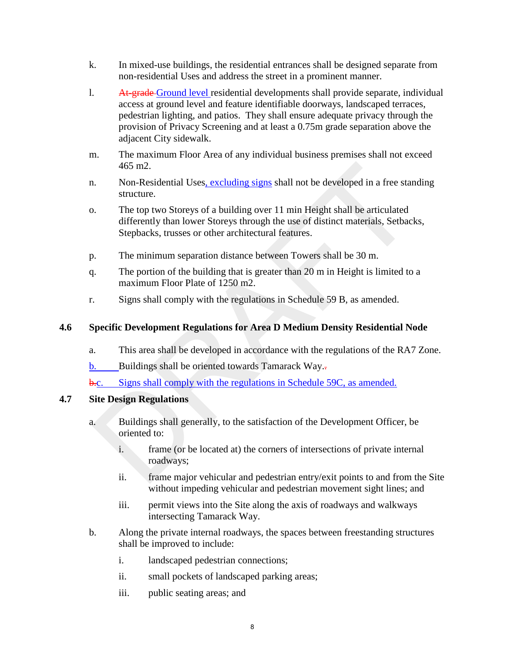- k. In mixed-use buildings, the residential entrances shall be designed separate from non-residential Uses and address the street in a prominent manner.
- l. At-grade Ground level residential developments shall provide separate, individual access at ground level and feature identifiable doorways, landscaped terraces, pedestrian lighting, and patios. They shall ensure adequate privacy through the provision of Privacy Screening and at least a 0.75m grade separation above the adjacent City sidewalk.
- m. The maximum Floor Area of any individual business premises shall not exceed 465 m2.
- n. Non-Residential Uses, excluding signs shall not be developed in a free standing structure.
- o. The top two Storeys of a building over 11 min Height shall be articulated differently than lower Storeys through the use of distinct materials, Setbacks, Stepbacks, trusses or other architectural features. 465 m2.<br>
Non-Residential Uses, excluding signs shall not be developed in a free star<br>
ituture.<br>
The top two Storeys of a building over 11 min Height shall be articulated<br>
differently than lower Storeys through the use of
- p. The minimum separation distance between Towers shall be 30 m.
- q. The portion of the building that is greater than 20 m in Height is limited to a maximum Floor Plate of 1250 m2.
- r. Signs shall comply with the regulations in Schedule 59 B, as amended.

# **4.6 Specific Development Regulations for Area D Medium Density Residential Node**

- a. This area shall be developed in accordance with the regulations of the RA7 Zone.
- $\underline{b}$ . Buildings shall be oriented towards Tamarack Way...
- b.c. Signs shall comply with the regulations in Schedule 59C, as amended.

#### **4.7 Site Design Regulations**

- a. Buildings shall generally, to the satisfaction of the Development Officer, be oriented to:
	- i. frame (or be located at) the corners of intersections of private internal roadways;
	- ii. frame major vehicular and pedestrian entry/exit points to and from the Site without impeding vehicular and pedestrian movement sight lines; and
	- iii. permit views into the Site along the axis of roadways and walkways intersecting Tamarack Way.
- b. Along the private internal roadways, the spaces between freestanding structures shall be improved to include:
	- i. landscaped pedestrian connections;
	- ii. small pockets of landscaped parking areas;
	- iii. public seating areas; and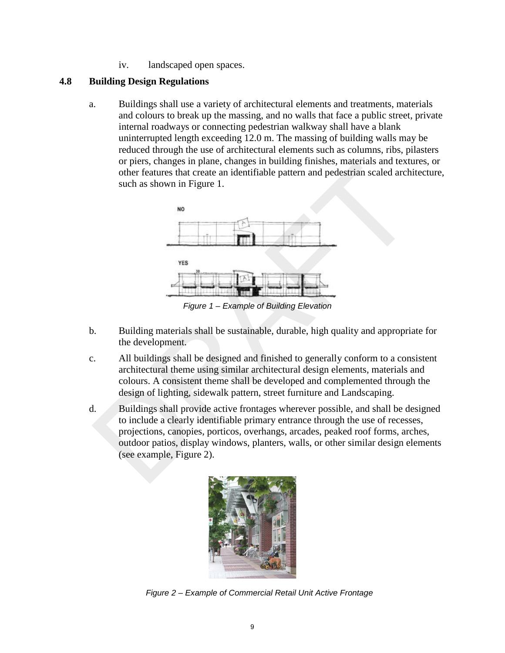iv. landscaped open spaces.

### **4.8 Building Design Regulations**

a. Buildings shall use a variety of architectural elements and treatments, materials and colours to break up the massing, and no walls that face a public street, private internal roadways or connecting pedestrian walkway shall have a blank uninterrupted length exceeding 12.0 m. The massing of building walls may be reduced through the use of architectural elements such as columns, ribs, pilasters or piers, changes in plane, changes in building finishes, materials and textures, or other features that create an identifiable pattern and pedestrian scaled architecture, such as shown in Figure 1.



*Figure 1 – Example of Building Elevation*

- b. Building materials shall be sustainable, durable, high quality and appropriate for the development.
- c. All buildings shall be designed and finished to generally conform to a consistent architectural theme using similar architectural design elements, materials and colours. A consistent theme shall be developed and complemented through the design of lighting, sidewalk pattern, street furniture and Landscaping.
- d. Buildings shall provide active frontages wherever possible, and shall be designed to include a clearly identifiable primary entrance through the use of recesses, projections, canopies, porticos, overhangs, arcades, peaked roof forms, arches, outdoor patios, display windows, planters, walls, or other similar design elements (see example, Figure 2). of persis, ranges in paint, changes in bunding imisines, materials and textual<br>other features that create an identifiable pattern and pedestrian scaled archive<br>such as shown in Figure 1.<br>
We also shown in Figure 1.<br>
We als



*Figure 2 – Example of Commercial Retail Unit Active Frontage*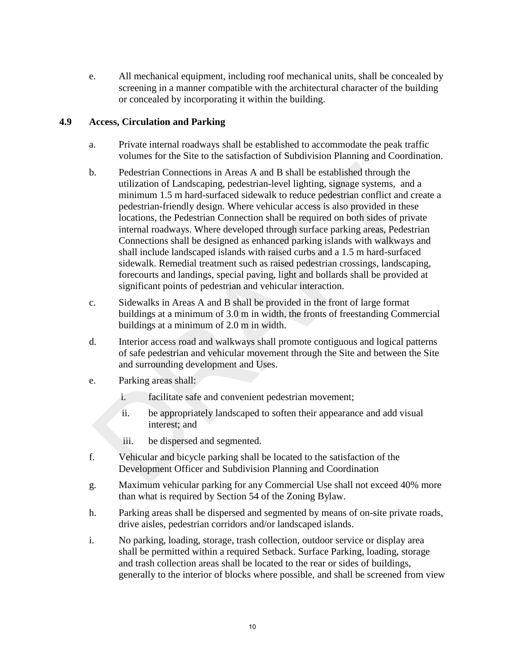e. All mechanical equipment, including roof mechanical units, shall be concealed by screening in a manner compatible with the architectural character of the building or concealed by incorporating it within the building.

# **4.9 Access, Circulation and Parking**

- a. Private internal roadways shall be established to accommodate the peak traffic volumes for the Site to the satisfaction of Subdivision Planning and Coordination.
- b. Pedestrian Connections in Areas A and B shall be established through the utilization of Landscaping, pedestrian-level lighting, signage systems, and a minimum 1.5 m hard-surfaced sidewalk to reduce pedestrian conflict and create a pedestrian-friendly design. Where vehicular access is also provided in these locations, the Pedestrian Connection shall be required on both sides of private internal roadways. Where developed through surface parking areas, Pedestrian Connections shall be designed as enhanced parking islands with walkways and shall include landscaped islands with raised curbs and a 1.5 m hard-surfaced sidewalk. Remedial treatment such as raised pedestrian crossings, landscaping, forecourts and landings, special paving, light and bollards shall be provided at significant points of pedestrian and vehicular interaction. Redestrian Connections in Areas A and B shall be established through the utilization of Landscaping, pedestrian-level lighting, signage systems, and minimum 1.5 m hard-surfaced sidewalk to reduce pedestrian conflict and p
- c. Sidewalks in Areas A and B shall be provided in the front of large format buildings at a minimum of 3.0 m in width, the fronts of freestanding Commercial buildings at a minimum of 2.0 m in width.
- d. Interior access road and walkways shall promote contiguous and logical patterns of safe pedestrian and vehicular movement through the Site and between the Site and surrounding development and Uses.
- e. Parking areas shall:
	- i. facilitate safe and convenient pedestrian movement;
	- ii. be appropriately landscaped to soften their appearance and add visual interest; and
	- iii. be dispersed and segmented.
- f. Vehicular and bicycle parking shall be located to the satisfaction of the Development Officer and Subdivision Planning and Coordination
- g. Maximum vehicular parking for any Commercial Use shall not exceed 40% more than what is required by Section 54 of the Zoning Bylaw.
- h. Parking areas shall be dispersed and segmented by means of on-site private roads, drive aisles, pedestrian corridors and/or landscaped islands.
- i. No parking, loading, storage, trash collection, outdoor service or display area shall be permitted within a required Setback. Surface Parking, loading, storage and trash collection areas shall be located to the rear or sides of buildings, generally to the interior of blocks where possible, and shall be screened from view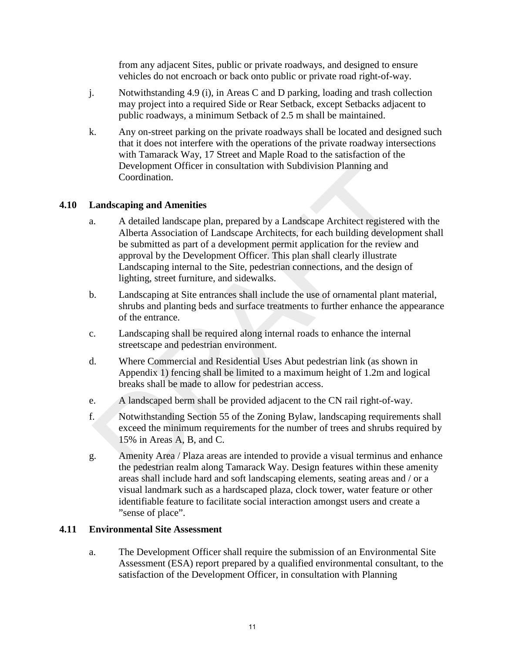from any adjacent Sites, public or private roadways, and designed to ensure vehicles do not encroach or back onto public or private road right-of-way.

- j. Notwithstanding 4.9 (i), in Areas C and D parking, loading and trash collection may project into a required Side or Rear Setback, except Setbacks adjacent to public roadways, a minimum Setback of 2.5 m shall be maintained.
- k. Any on-street parking on the private roadways shall be located and designed such that it does not interfere with the operations of the private roadway intersections with Tamarack Way, 17 Street and Maple Road to the satisfaction of the Development Officer in consultation with Subdivision Planning and Coordination.

# **4.10 Landscaping and Amenities**

- a. A detailed landscape plan, prepared by a Landscape Architect registered with the Alberta Association of Landscape Architects, for each building development shall be submitted as part of a development permit application for the review and approval by the Development Officer. This plan shall clearly illustrate Landscaping internal to the Site, pedestrian connections, and the design of lighting, street furniture, and sidewalks. Development Officer in consultation with Subdivision Planning and<br>
Coordination.<br>
A detailed landscape plan, prepared by a Landscape Architect registered w<br>
A detailed landscape plan, prepared by a Landscape Architect regi
- b. Landscaping at Site entrances shall include the use of ornamental plant material, shrubs and planting beds and surface treatments to further enhance the appearance of the entrance.
- c. Landscaping shall be required along internal roads to enhance the internal streetscape and pedestrian environment.
- d. Where Commercial and Residential Uses Abut pedestrian link (as shown in Appendix 1) fencing shall be limited to a maximum height of 1.2m and logical breaks shall be made to allow for pedestrian access.
- e. A landscaped berm shall be provided adjacent to the CN rail right-of-way.
- f. Notwithstanding Section 55 of the Zoning Bylaw, landscaping requirements shall exceed the minimum requirements for the number of trees and shrubs required by 15% in Areas A, B, and C.
- g. Amenity Area / Plaza areas are intended to provide a visual terminus and enhance the pedestrian realm along Tamarack Way. Design features within these amenity areas shall include hard and soft landscaping elements, seating areas and / or a visual landmark such as a hardscaped plaza, clock tower, water feature or other identifiable feature to facilitate social interaction amongst users and create a "sense of place".

# **4.11 Environmental Site Assessment**

a. The Development Officer shall require the submission of an Environmental Site Assessment (ESA) report prepared by a qualified environmental consultant, to the satisfaction of the Development Officer, in consultation with Planning